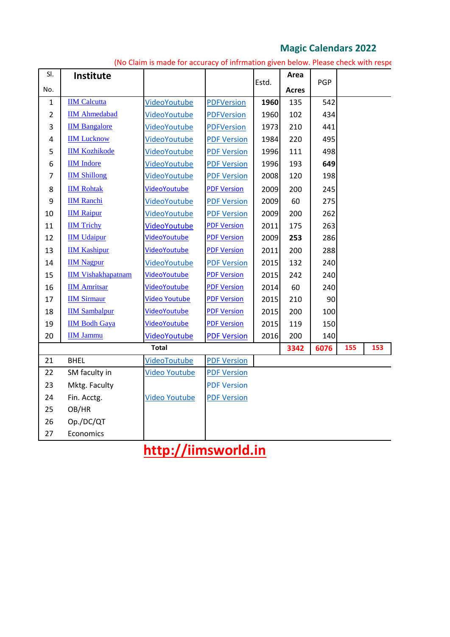## **Magic Calendars 2022**

| SI.            | Institute                 |                      |                    |       | Area         |            |  |  |
|----------------|---------------------------|----------------------|--------------------|-------|--------------|------------|--|--|
| No.            |                           |                      |                    | Estd. | <b>Acres</b> | <b>PGP</b> |  |  |
| $\mathbf 1$    | <b>IIM Calcutta</b>       | VideoYoutube         | <b>PDFVersion</b>  | 1960  | 135          | 542        |  |  |
| $\overline{2}$ | <b>IIM Ahmedabad</b>      | <b>VideoYoutube</b>  | <b>PDFVersion</b>  | 1960  | 102          | 434        |  |  |
| 3              | <b>IIM Bangalore</b>      | <b>VideoYoutube</b>  | <b>PDFVersion</b>  | 1973  | 210          | 441        |  |  |
| 4              | <b>IIM Lucknow</b>        | VideoYoutube         | <b>PDF Version</b> | 1984  | 220          | 495        |  |  |
| 5              | <b>IIM Kozhikode</b>      | VideoYoutube         | <b>PDF Version</b> | 1996  | 111          | 498        |  |  |
| 6              | <b>IIM</b> Indore         | VideoYoutube         | <b>PDF Version</b> | 1996  | 193          | 649        |  |  |
| $\overline{7}$ | <b>IIM Shillong</b>       | VideoYoutube         | <b>PDF Version</b> | 2008  | 120          | 198        |  |  |
| 8              | <b>IIM Rohtak</b>         | <b>VideoYoutube</b>  | <b>PDF Version</b> | 2009  | 200          | 245        |  |  |
| 9              | <b>IIM Ranchi</b>         | VideoYoutube         | <b>PDF Version</b> | 2009  | 60           | 275        |  |  |
| 10             | <b>IIM Raipur</b>         | VideoYoutube         | <b>PDF Version</b> | 2009  | 200          | 262        |  |  |
| 11             | <b>IIM Trichy</b>         | VideoYoutube         | <b>PDF Version</b> | 2011  | 175          | 263        |  |  |
| 12             | <b>IIM Udaipur</b>        | <b>VideoYoutube</b>  | <b>PDF Version</b> | 2009  | 253          | 286        |  |  |
| 13             | <b>IIM Kashipur</b>       | <b>VideoYoutube</b>  | <b>PDF Version</b> | 2011  | 200          | 288        |  |  |
| 14             | <b>IIM Nagpur</b>         | VideoYoutube         | <b>PDF Version</b> | 2015  | 132          | 240        |  |  |
| 15             | <b>IIM Vishakhapatnam</b> | <b>VideoYoutube</b>  | <b>PDF Version</b> | 2015  | 242          | 240        |  |  |
| 16             | <b>IIM Amritsar</b>       | <b>VideoYoutube</b>  | <b>PDF Version</b> | 2014  | 60           | 240        |  |  |
| 17             | <b>IIM Sirmaur</b>        | <b>Video Youtube</b> | <b>PDF Version</b> | 2015  | 210          | 90         |  |  |
| 18             | <b>IIM Sambalpur</b>      | <b>VideoYoutube</b>  | <b>PDF Version</b> | 2015  | 200          | 100        |  |  |
| 19             | <b>IIM Bodh Gaya</b>      | <b>VideoYoutube</b>  | <b>PDF Version</b> | 2015  | 119          | 150        |  |  |
| 20             | <b>IIM Jammu</b>          | VideoYoutube         | <b>PDF Version</b> | 2016  | 200          | 140        |  |  |
|                |                           |                      | 3342               | 6076  | 155          | 153        |  |  |
| 21             | <b>BHEL</b>               | <b>VideoToutube</b>  | <b>PDF Version</b> |       |              |            |  |  |
| 22             | SM faculty in             | Video Youtube        | <b>PDF Version</b> |       |              |            |  |  |
| 23             | Mktg. Faculty             |                      | <b>PDF Version</b> |       |              |            |  |  |
| 24             | Fin. Acctg.               | <b>Video Youtube</b> | <b>PDF Version</b> |       |              |            |  |  |
| 25             | OB/HR                     |                      |                    |       |              |            |  |  |
| 26             | Op./DC/QT                 |                      |                    |       |              |            |  |  |
| 27             | Economics                 |                      |                    |       |              |            |  |  |
|                |                           | .                    | .                  |       |              |            |  |  |

(No Claim is made for accuracy of infrmation given below. Please check with respe

## **http://iimsworld.in**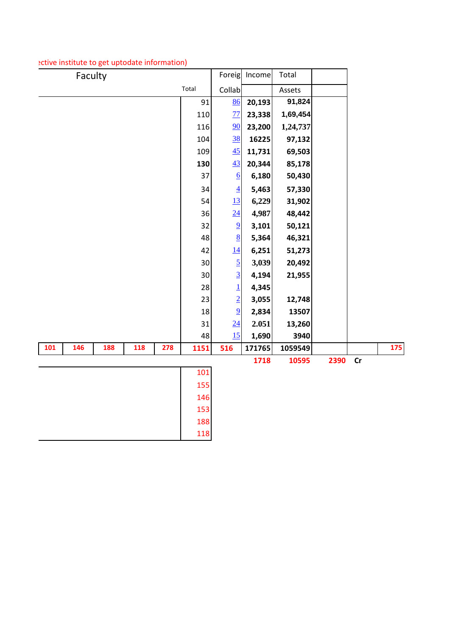| Faculty                         |      | Foreig           | Income | Total    |      |    |     |
|---------------------------------|------|------------------|--------|----------|------|----|-----|
| Total                           |      | Collab           |        | Assets   |      |    |     |
|                                 | 91   | 86               | 20,193 | 91,824   |      |    |     |
|                                 | 110  | 77               | 23,338 | 1,69,454 |      |    |     |
|                                 | 116  | 90               | 23,200 | 1,24,737 |      |    |     |
|                                 | 104  | 38               | 16225  | 97,132   |      |    |     |
|                                 | 109  | 45               | 11,731 | 69,503   |      |    |     |
|                                 | 130  | 43               | 20,344 | 85,178   |      |    |     |
|                                 | 37   | $6 \overline{6}$ | 6,180  | 50,430   |      |    |     |
|                                 | 34   | $\overline{4}$   | 5,463  | 57,330   |      |    |     |
|                                 | 54   | 13               | 6,229  | 31,902   |      |    |     |
|                                 | 36   | 24               | 4,987  | 48,442   |      |    |     |
|                                 | 32   | $\overline{9}$   | 3,101  | 50,121   |      |    |     |
|                                 | 48   | $\underline{8}$  | 5,364  | 46,321   |      |    |     |
|                                 | 42   | 14               | 6,251  | 51,273   |      |    |     |
|                                 | 30   | $\overline{5}$   | 3,039  | 20,492   |      |    |     |
|                                 | 30   | $\overline{3}$   | 4,194  | 21,955   |      |    |     |
|                                 | 28   | $\overline{1}$   | 4,345  |          |      |    |     |
|                                 | 23   | $\overline{2}$   | 3,055  | 12,748   |      |    |     |
|                                 | 18   | $\overline{9}$   | 2,834  | 13507    |      |    |     |
|                                 | 31   | 24               | 2.051  | 13,260   |      |    |     |
|                                 | 48   | 15               | 1,690  | 3940     |      |    |     |
| 146<br>118<br>278<br>101<br>188 | 1151 | 516              | 171765 | 1059549  |      |    | 175 |
|                                 |      |                  | 1718   | 10595    | 2390 | cr |     |
|                                 | 101  |                  |        |          |      |    |     |
|                                 | 155  |                  |        |          |      |    |     |
|                                 | 146  |                  |        |          |      |    |     |
|                                 | 153  |                  |        |          |      |    |     |
|                                 | 188  |                  |        |          |      |    |     |
|                                 | 118  |                  |        |          |      |    |     |

## ective institute to get uptodate information)